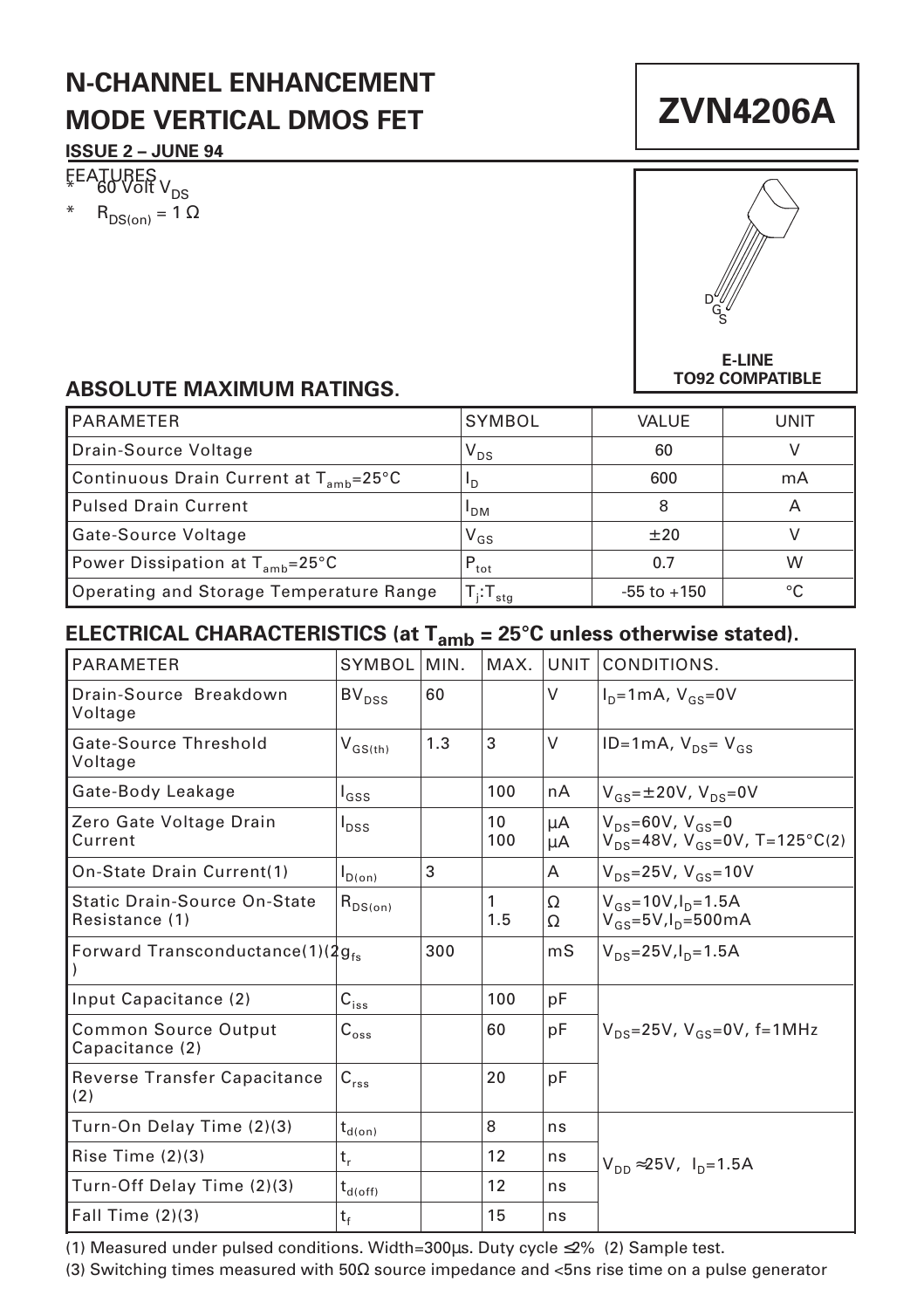# **N-CHANNEL ENHANCEMENT MODE VERTICAL DMOS FET**

#### **ISSUE 2 – JUNE 94**

FEATURES V<sub>DS</sub>  $R_{DS(on)} = 1 \Omega$ 



**ZVN4206A**

#### **E-LINE TO92 COMPATIBLE**

### **ABSOLUTE MAXIMUM RATINGS.**

| <b>PARAMETER</b>                                   | SYMBOL            | VALUE           | UNIT |
|----------------------------------------------------|-------------------|-----------------|------|
| Drain-Source Voltage                               | $V_{DS}$          | 60              |      |
| Continuous Drain Current at T <sub>amb</sub> =25°C | <sup>1</sup> D    | 600             | mA   |
| Pulsed Drain Current                               | I <sub>DM</sub>   | 8               |      |
| Gate-Source Voltage                                | $V_{GS}$          | $+20$           |      |
| Power Dissipation at $T_{amb}$ =25°C               | $P_{\text{tot}}$  | 0.7             | W    |
| Operating and Storage Temperature Range            | $T_i$ : $T_{sta}$ | $-55$ to $+150$ | °C   |

## **ELECTRICAL CHARACTERISTICS (at Tamb = 25°C unless otherwise stated).**

| <b>PARAMETER</b>                               | SYMBOL                                  | MIN. | MAX.      | UNIT     | CONDITIONS.                                                               |  |
|------------------------------------------------|-----------------------------------------|------|-----------|----------|---------------------------------------------------------------------------|--|
| Drain-Source Breakdown<br>Voltage              | $BV_{DSS}$                              | 60   |           | $\vee$   | $ID=1mA, VGS=0V$                                                          |  |
| Gate-Source Threshold<br>Voltage               | $\mathsf{V}_{\mathsf{GS}(\mathsf{th})}$ | 1.3  | 3         | V        | $ID=1mA, VDS=VGS$                                                         |  |
| Gate-Body Leakage                              | $I_{GSS}$                               |      | 100       | nA       | $V_{gs} = \pm 20V$ , $V_{ps} = 0V$                                        |  |
| Zero Gate Voltage Drain<br>Current             | $I_{DSS}$                               |      | 10<br>100 | μA<br>μA | $V_{DS} = 60V, V_{GS} = 0$<br>$V_{DS} = 48V$ , $V_{GS} = 0V$ , T=125°C(2) |  |
| On-State Drain Current(1)                      | $I_{D(on)}$                             | 3    |           | A        | $V_{DS} = 25V$ , $V_{GS} = 10V$                                           |  |
| Static Drain-Source On-State<br>Resistance (1) | $R_{DS(on)}$                            |      | 1<br>1.5  | Ω<br>Ω   | $V_{GS} = 10V, I_D = 1.5A$<br>$V_{GS} = 5V I_{D} = 500 \text{mA}$         |  |
| Forward Transconductance(1)(2gfs)              |                                         | 300  |           | mS       | $V_{DS} = 25V I_{D} = 1.5A$                                               |  |
| Input Capacitance (2)                          | $\mathsf{C}_{\mathsf{iss}}$             |      | 100       | рF       |                                                                           |  |
| <b>Common Source Output</b><br>Capacitance (2) | $C_{\rm{oss}}$                          |      | 60        | pF       | $V_{DS} = 25V$ , $V_{GS} = 0V$ , f=1MHz                                   |  |
| Reverse Transfer Capacitance<br>(2)            | $C_{rss}$                               |      | 20        | pF       |                                                                           |  |
| Turn-On Delay Time (2)(3)                      | $t_{d(on)}$                             |      | 8         | ns       |                                                                           |  |
| Rise Time $(2)(3)$                             | t,                                      |      | 12        | ns       | $V_{\text{DD}} \approx 25V$ , $I_{\text{D}} = 1.5A$                       |  |
| Turn-Off Delay Time (2)(3)                     | $t_{d(\mathrm{off})}$                   |      | 12        | ns       |                                                                           |  |
| Fall Time $(2)(3)$                             | t,                                      |      | 15        | ns       |                                                                           |  |

(1) Measured under pulsed conditions. Width=300µs. Duty cycle ≤2% (2) Sample test.

(3) Switching times measured with 50Ω source impedance and <5ns rise time on a pulse generator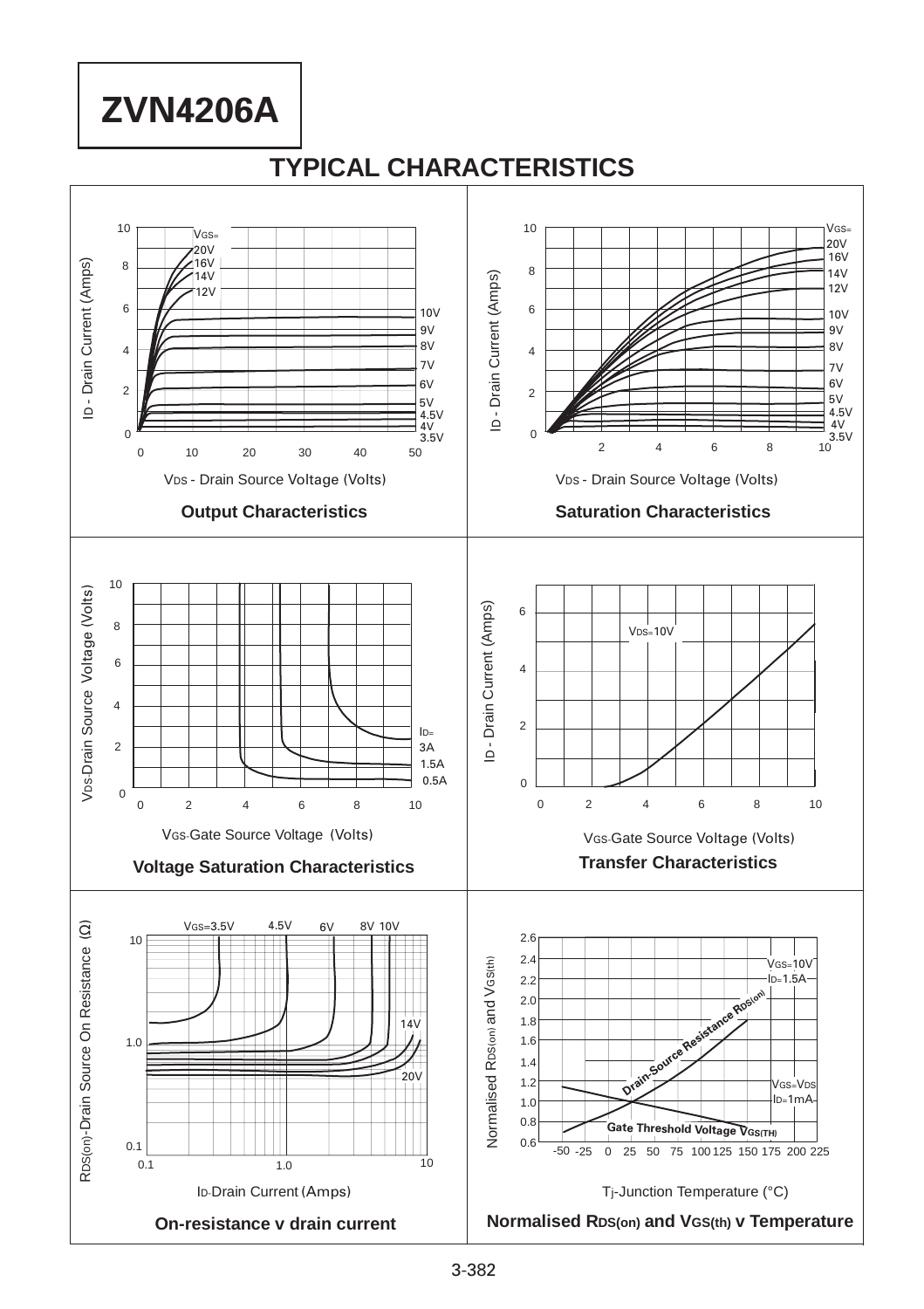# **ZVN4206A**

## **TYPICAL CHARACTERISTICS**